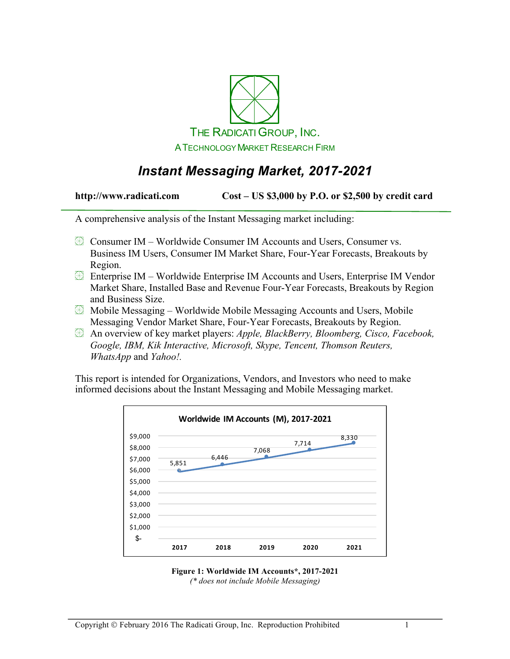

# *Instant Messaging Market, 2017-2021*

**http://www.radicati.com Cost – US \$3,000 by P.O. or \$2,500 by credit card**

A comprehensive analysis of the Instant Messaging market including:

- $\boxtimes$  Consumer IM Worldwide Consumer IM Accounts and Users, Consumer vs. Business IM Users, Consumer IM Market Share, Four-Year Forecasts, Breakouts by Region.
- Enterprise IM Worldwide Enterprise IM Accounts and Users, Enterprise IM Vendor Market Share, Installed Base and Revenue Four-Year Forecasts, Breakouts by Region and Business Size.
- $\boxtimes$  Mobile Messaging Worldwide Mobile Messaging Accounts and Users, Mobile Messaging Vendor Market Share, Four-Year Forecasts, Breakouts by Region.
- An overview of key market players: *Apple, BlackBerry, Bloomberg, Cisco, Facebook, Google, IBM, Kik Interactive, Microsoft, Skype, Tencent, Thomson Reuters, WhatsApp* and *Yahoo!.*

This report is intended for Organizations, Vendors, and Investors who need to make informed decisions about the Instant Messaging and Mobile Messaging market.



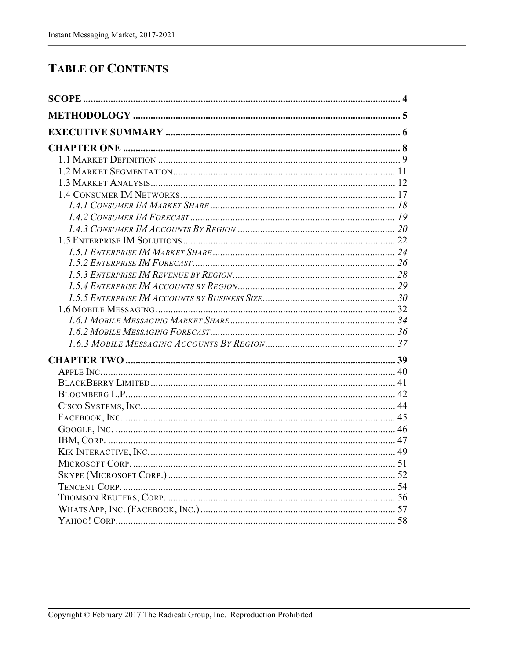## **TABLE OF CONTENTS**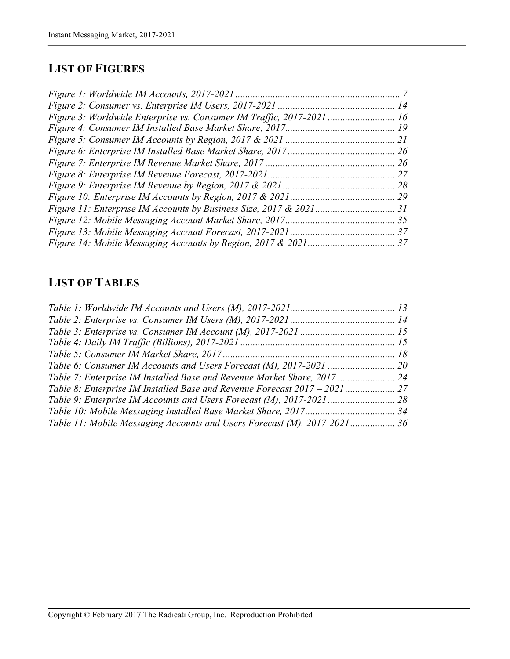### **LIST OF FIGURES**

# **LIST OF TABLES**

| Table 7: Enterprise IM Installed Base and Revenue Market Share, 2017  24 |  |
|--------------------------------------------------------------------------|--|
|                                                                          |  |
|                                                                          |  |
|                                                                          |  |
| Table 11: Mobile Messaging Accounts and Users Forecast (M), 2017-2021 36 |  |